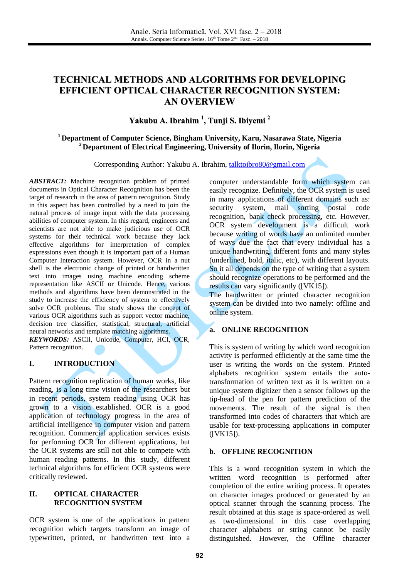# **TECHNICAL METHODS AND ALGORITHMS FOR DEVELOPING EFFICIENT OPTICAL CHARACTER RECOGNITION SYSTEM: AN OVERVIEW**

**Yakubu A. Ibrahim 1 , Tunji S. Ibiyemi 2**

## **<sup>1</sup> Department of Computer Science, Bingham University, Karu, Nasarawa State, Nigeria <sup>2</sup> Department of Electrical Engineering, University of Ilorin, Ilorin, Nigeria**

Corresponding Author: Yakubu A. Ibrahim, [talktoibro80@gmail.com](mailto:talktoibro80@gmail.com)

*ABSTRACT:* Machine recognition problem of printed documents in Optical Character Recognition has been the target of research in the area of pattern recognition. Study in this aspect has been controlled by a need to join the natural process of image input with the data processing abilities of computer system. In this regard, engineers and scientists are not able to make judicious use of OCR systems for their technical work because they lack effective algorithms for interpretation of complex expressions even though it is important part of a Human Computer Interaction system. However, OCR in a nut shell is the electronic change of printed or handwritten text into images using machine encoding scheme representation like ASCII or Unicode. Hence, various methods and algorithms have been demonstrated in the study to increase the efficiency of system to effectively solve OCR problems. The study shows the concept of various OCR algorithms such as support vector machine, decision tree classifier, statistical, structural, artificial neural networks and template matching algorithms. *KEYWORDS:* ASCII, Unicode, Computer, HCI, OCR, Pattern recognition.

### **I. INTRODUCTION**

Pattern recognition replication of human works, like reading, is a long time vision of the researchers but in recent periods, system reading using OCR has grown to a vision established. OCR is a good application of technology progress in the area of artificial intelligence in computer vision and pattern recognition. Commercial application services exists for performing OCR for different applications, but the OCR systems are still not able to compete with human reading patterns. In this study, different technical algorithms for efficient OCR systems were critically reviewed.

### **II. OPTICAL CHARACTER RECOGNITION SYSTEM**

OCR system is one of the applications in pattern recognition which targets transform an image of typewritten, printed, or handwritten text into a computer understandable form which system can easily recognize. Definitely, the OCR system is used in many applications of different domains such as: security system, mail sorting postal code recognition, bank check processing, etc. However, OCR system development is a difficult work because writing of words have an unlimited number of ways due the fact that every individual has a unique handwriting, different fonts and many styles (underlined, bold, italic, etc), with different layouts. So it all depends on the type of writing that a system should recognize operations to be performed and the results can vary significantly ([VK15]).

The handwritten or printed character recognition system can be divided into two namely: offline and online system.

## **a. ONLINE RECOGNITION**

This is system of writing by which word recognition activity is performed efficiently at the same time the user is writing the words on the system. Printed alphabets recognition system entails the autotransformation of written text as it is written on a unique system digitizer then a sensor follows up the tip-head of the pen for pattern prediction of the movements. The result of the signal is then transformed into codes of characters that which are usable for text-processing applications in computer ([VK15]).

### **b. OFFLINE RECOGNITION**

This is a word recognition system in which the written word recognition is performed after completion of the entire writing process. It operates on character images produced or generated by an optical scanner through the scanning process. The result obtained at this stage is space-ordered as well as two-dimensional in this case overlapping character alphabets or string cannot be easily distinguished. However, the Offline character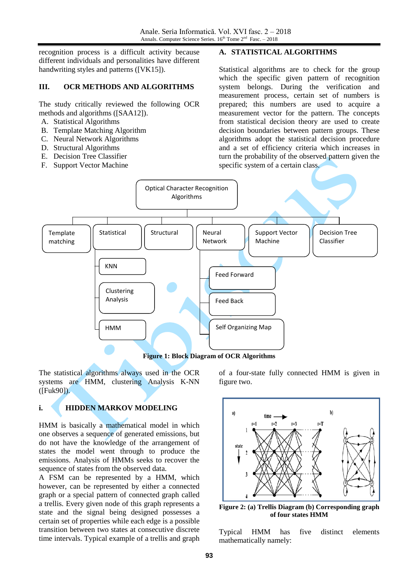recognition process is a difficult activity because different individuals and personalities have different handwriting styles and patterns ([VK15]).

### **III. OCR METHODS AND ALGORITHMS**

The study critically reviewed the following OCR methods and algorithms ([SAA12]).

- A. Statistical Algorithms
- B. Template Matching Algorithm
- C. Neural Network Algorithms
- D. Structural Algorithms
- E. Decision Tree Classifier
- F. Support Vector Machine

### **A. STATISTICAL ALGORITHMS**

Statistical algorithms are to check for the group which the specific given pattern of recognition system belongs. During the verification and measurement process, certain set of numbers is prepared; this numbers are used to acquire a measurement vector for the pattern. The concepts from statistical decision theory are used to create decision boundaries between pattern groups. These algorithms adopt the statistical decision procedure and a set of efficiency criteria which increases in turn the probability of the observed pattern given the specific system of a certain class.



**Figure 1: Block Diagram of OCR Algorithms**

The statistical algorithms always used in the OCR systems are HMM, clustering Analysis K-NN ([Fuk90]).

# **i. HIDDEN MARKOV MODELING**

HMM is basically a mathematical model in which one observes a sequence of generated emissions, but do not have the knowledge of the arrangement of states the model went through to produce the emissions. Analysis of HMMs seeks to recover the sequence of states from the observed data.

A FSM can be represented by a HMM, which however, can be represented by either a connected graph or a special pattern of connected graph called a trellis. Every given node of this graph represents a state and the signal being designed possesses a certain set of properties while each edge is a possible transition between two states at consecutive discrete time intervals. Typical example of a trellis and graph

of a four-state fully connected HMM is given in figure two.



**Figure 2: (a) Trellis Diagram (b) Corresponding graph of four states HMM**

Typical HMM has five distinct elements mathematically namely: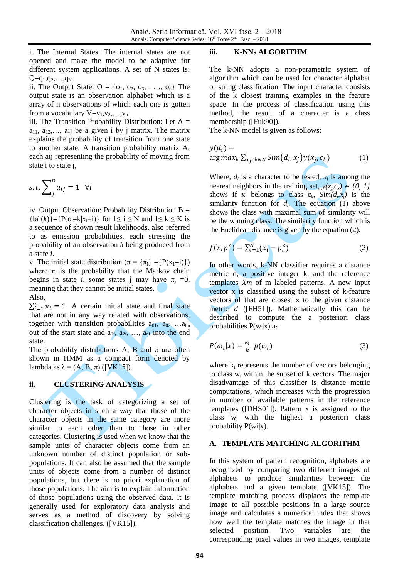i. The Internal States: The internal states are not opened and make the model to be adaptive for different system applications. A set of N states is:  $Q=q_1,q_2,...,q_N$ 

ii. The Output State:  $O = \{o_1, o_2, o_3, \ldots, o_n\}$  The output state is an observation alphabet which is a array of n observations of which each one is gotten from a vocabulary  $V=v_1,v_2,...,v_n$ .

iii. The Transition Probability Distribution: Let  $A =$  $a_{11}$ ,  $a_{12}$ ,..., aij be a given i by j matrix. The matrix explains the probability of transition from one state to another state. A transition probability matrix A, each aij representing the probability of moving from state i to state j,

$$
s.t. \sum_{j}^{n} a_{ij} = 1 \quad \forall i
$$

iv. Output Observation: Probability Distribution  $B =$  $\{bi (k)\} = \{P(o_t = k | x_t = i)\}\$ for  $1 \le i \le N$  and  $1 \le k \le K$  is a sequence of shown result likelihoods, also referred to as emission probabilities, each stressing the probability of an observation *k* being produced from a state *i*.

v. The initial state distribution ( $\pi = {\pi_i} = {P(x_1=i)}$ ) where  $\pi$ <sub>i</sub> is the probability that the Markov chain begins in state *i*. some states j may have  $\pi_i = 0$ , meaning that they cannot be initial states. Also,

 $\sum_{i=1}^{n} \pi_i = 1$ . A certain initial state and final state that are not in any way related with observations, together with transition probabilities  $a_{01}$ ,  $a_{02}$  ... $a_{0n}$ out of the start state and  $a_{1f}$ ,  $a_{2f}$ , ...,  $a_{nf}$  into the end state.

The probability distributions A, B and  $\pi$  are often shown in HMM as a compact form denoted by lambda as  $\lambda = (A, B, \pi)$  ([VK15]).

### **ii. CLUSTERING ANALYSIS**

Clustering is the task of categorizing a set of character objects in such a way that those of the character objects in the same category are more similar to each other than to those in other categories. Clustering is used when we know that the sample units of character objects come from an unknown number of distinct population or subpopulations. It can also be assumed that the sample units of objects come from a number of distinct populations, but there is no priori explanation of those populations. The aim is to explain information of those populations using the observed data. It is generally used for exploratory data analysis and serves as a method of discovery by solving classification challenges. ([VK15]).

#### **iii. K-NNs ALGORITHM**

The k-NN adopts a non-parametric system of algorithm which can be used for character alphabet or string classification. The input character consists of the k closest training examples in the feature space. In the process of classification using this method, the result of a character is a class membership ([Fuk90]).

The k-NN model is given as follows:

$$
y(d_i) =
$$
  
arg max<sub>k</sub>  $\sum_{x_j \in kNN} Sim(d_i, x_j) y(x_j, c_k)$  (1)

Where,  $d_i$  is a character to be tested,  $x_j$  is among the nearest neighbors in the training set,  $y(x_j, c_k) \in \{0, 1\}$ shows if  $x_j$  belongs to class  $c_k$ ,  $Sim(d_i, x_j)$  is the similarity function for  $d_i$ . The equation (1) above shows the class with maximal sum of similarity will be the winning class. The similarity function which is the Euclidean distance is given by the equation (2).

$$
f(x, p^2) = \sum_{i=1}^{N} (x_i - p_i^2)
$$
 (2)

In other words, k-NN classifier requires a distance metric d, a positive integer k, and the reference templates *Xm* of m labeled patterns. A new input vector x is classified using the subset of k-feature vectors of that are closest x to the given distance metric *d* ([FH51]). Mathematically this can be described to compute the a posteriori class probabilities  $P(w_i|x)$  as

$$
P(\omega_i|x) = \frac{k_i}{k} \cdot p(\omega_i)
$$
 (3)

where  $k_i$  represents the number of vectors belonging to class  $w_i$  within the subset of k vectors. The major disadvantage of this classifier is distance metric computations, which increases with the progression in number of available patterns in the reference templates ([DHS01]). Pattern x is assigned to the class  $w_i$  with the highest a posteriori class probability  $P(wi|x)$ .

#### **A. TEMPLATE MATCHING ALGORITHM**

In this system of pattern recognition, alphabets are recognized by comparing two different images of alphabets to produce similarities between the alphabets and a given template ([VK15]). The template matching process displaces the template image to all possible positions in a large source image and calculates a numerical index that shows how well the template matches the image in that selected position. Two variables are the corresponding pixel values in two images, template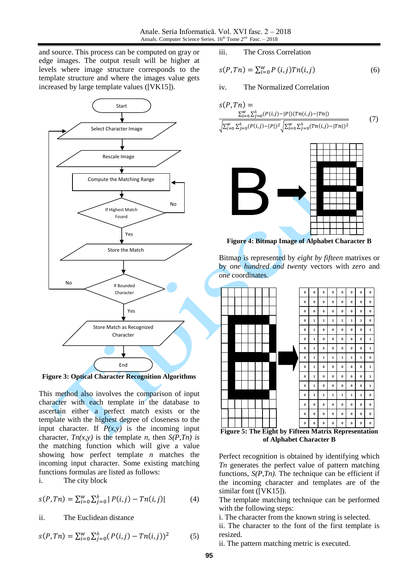and source. This process can be computed on gray or edge images. The output result will be higher at levels where image structure corresponds to the template structure and where the images value gets increased by large template values ([VK15]).



**Figure 3: Optical Character Recognition Algorithms**

This method also involves the comparison of input character with each template in the database to ascertain either a perfect match exists or the template with the highest degree of closeness to the input character. If  $P(x, y)$  is the incoming input character,  $T_n(x, y)$  is the template *n*, then  $S(P, T_n)$  is the matching function which will give a value showing how perfect template *n* matches the incoming input character. Some existing matching functions formulas are listed as follows:

i. The city block

$$
s(P, Tn) = \sum_{i=0}^{w} \sum_{j=0}^{h} |P(i, j) - Tn(i, j)| \tag{4}
$$

ii. The Euclidean distance

$$
s(P, Tn) = \sum_{i=0}^{w} \sum_{j=0}^{h} (P(i,j) - Tn(i,j))^2
$$
 (5)

iii. The Cross Correlation

$$
s(P, Tn) = \sum_{i=0}^{w} P(i,j) Tn(i,j)
$$
 (6)

iv. The Normalized Correlation

$$
s(P, Tn) = \frac{\sum_{i=0}^{w} \sum_{j=0}^{h} (P(i,j) - |P|)(Tn(i,j) - |Tn|)}{\sqrt{\sum_{i=0}^{w} \sum_{j=0}^{h} (P(i,j) - |P|)^2} \sqrt{\sum_{i=0}^{w} \sum_{j=0}^{h} (Tn(i,j) - |Tn|)^2}}
$$
(7)



**Figure 4: Bitmap Image of Alphabet Character B**

Bitmap is represented by *eight by fifteen* matrixes or by *one hundred and twenty* vectors with *zero* and *one* coordinates.



**Figure 5: The Eight by Fifteen Matrix Representation of Alphabet Character B**

Perfect recognition is obtained by identifying which *Tn* generates the perfect value of pattern matching functions,  $S(P, Tn)$ . The technique can be efficient if the incoming character and templates are of the similar font ([VK15]).

The template matching technique can be performed with the following steps:

i. The character from the known string is selected.

ii. The character to the font of the first template is resized.

ii. The pattern matching metric is executed.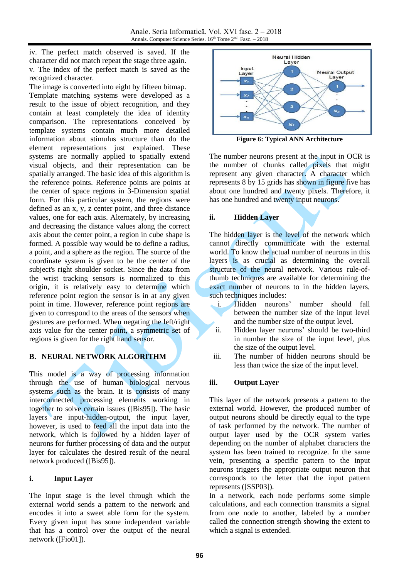iv. The perfect match observed is saved. If the character did not match repeat the stage three again. v. The index of the perfect match is saved as the recognized character.

The image is converted into eight by fifteen bitmap. Template matching systems were developed as a result to the issue of object recognition, and they contain at least completely the idea of identity comparison. The representations conceived by template systems contain much more detailed information about stimulus structure than do the element representations just explained. These systems are normally applied to spatially extend visual objects, and their representation can be spatially arranged. The basic idea of this algorithm is the reference points. Reference points are points at the center of space regions in 3-Dimension spatial form. For this particular system, the regions were defined as an x, y, z center point, and three distance values, one for each axis. Alternately, by increasing and decreasing the distance values along the correct axis about the center point, a region in cube shape is formed. A possible way would be to define a radius, a point, and a sphere as the region. The source of the coordinate system is given to be the center of the subject's right shoulder socket. Since the data from the wrist tracking sensors is normalized to this origin, it is relatively easy to determine which reference point region the sensor is in at any given point in time. However, reference point regions are given to correspond to the areas of the sensors when gestures are performed. When negating the left/right axis value for the center point, a symmetric set of regions is given for the right hand sensor.

# **B. NEURAL NETWORK ALGORITHM**

This model is a way of processing information through the use of human biological nervous systems such as the brain. It is consists of many interconnected processing elements working in together to solve certain issues ([Bis95]). The basic layers are input-hidden-output, the input layer, however, is used to feed all the input data into the network, which is followed by a hidden layer of neurons for further processing of data and the output layer for calculates the desired result of the neural network produced ([Bis95]).

## **i. Input Layer**

The input stage is the level through which the external world sends a pattern to the network and encodes it into a sweet able form for the system. Every given input has some independent variable that has a control over the output of the neural network ([Fio01]).



**Figure 6: Typical ANN Architecture**

The number neurons present at the input in OCR is the number of chunks called pixels that might represent any given character. A character which represents 8 by 15 grids has shown in figure five has about one hundred and twenty pixels. Therefore, it has one hundred and twenty input neurons.

## **ii. Hidden Layer**

The hidden layer is the level of the network which cannot directly communicate with the external world. To know the actual number of neurons in this layers is as crucial as determining the overall structure of the neural network. Various rule-ofthumb techniques are available for determining the exact number of neurons to in the hidden layers, such techniques includes:

- i. Hidden neurons' number should fall between the number size of the input level and the number size of the output level.
- ii. Hidden layer neurons' should be two-third in number the size of the input level, plus the size of the output level.
- iii. The number of hidden neurons should be less than twice the size of the input level.

## **iii. Output Layer**

This layer of the network presents a pattern to the external world. However, the produced number of output neurons should be directly equal to the type of task performed by the network. The number of output layer used by the OCR system varies depending on the number of alphabet characters the system has been trained to recognize. In the same vein, presenting a specific pattern to the input neurons triggers the appropriate output neuron that corresponds to the letter that the input pattern represents ([SSP03]).

In a network, each node performs some simple calculations, and each connection transmits a signal from one node to another, labeled by a number called the connection strength showing the extent to which a signal is extended.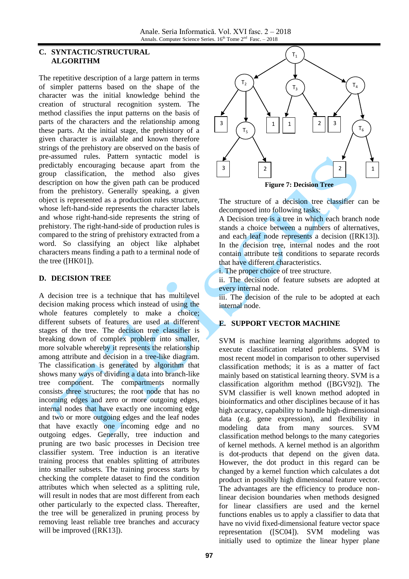### **C. SYNTACTIC/STRUCTURAL ALGORITHM**

The repetitive description of a large pattern in terms of simpler patterns based on the shape of the character was the initial knowledge behind the creation of structural recognition system. The method classifies the input patterns on the basis of parts of the characters and the relationship among these parts. At the initial stage, the prehistory of a given character is available and known therefore strings of the prehistory are observed on the basis of pre-assumed rules. Pattern syntactic model is predictably encouraging because apart from the group classification, the method also gives description on how the given path can be produced from the prehistory. Generally speaking, a given object is represented as a production rules structure, whose left-hand-side represents the character labels and whose right-hand-side represents the string of prehistory. The right-hand-side of production rules is compared to the string of prehistory extracted from a word. So classifying an object like alphabet characters means finding a path to a terminal node of the tree ([HK01]).

## **D. DECISION TREE**

A decision tree is a technique that has multilevel decision making process which instead of using the whole features completely to make a choice; different subsets of features are used at different stages of the tree. The decision tree classifier is breaking down of complex problem into smaller, more solvable whereby it represents the relationship among attribute and decision in a tree-like diagram. The classification is generated by algorithm that shows many ways of dividing a data into branch-like tree component. The compartments normally consists three structures; the root node that has no incoming edges and zero or more outgoing edges, internal nodes that have exactly one incoming edge and two or more outgoing edges and the leaf nodes that have exactly one incoming edge and no outgoing edges. Generally, tree induction and pruning are two basic processes in Decision tree classifier system. Tree induction is an iterative training process that enables splitting of attributes into smaller subsets. The training process starts by checking the complete dataset to find the condition attributes which when selected as a splitting rule, will result in nodes that are most different from each other particularly to the expected class. Thereafter, the tree will be generalized in pruning process by removing least reliable tree branches and accuracy will be improved ([RK13]).



The structure of a decision tree classifier can be decomposed into following tasks:

A Decision tree is a tree in which each branch node stands a choice between a numbers of alternatives, and each leaf node represents a decision ([RK13]). In the decision tree, internal nodes and the root contain attribute test conditions to separate records that have different characteristics.

i. The proper choice of tree structure.

ii. The decision of feature subsets are adopted at every internal node.

iii. The decision of the rule to be adopted at each internal node.

# **E. SUPPORT VECTOR MACHINE**

SVM is machine learning algorithms adopted to execute classification related problems. SVM is most recent model in comparison to other supervised classification methods; it is as a matter of fact mainly based on statistical learning theory. SVM is a classification algorithm method ([BGV92]). The SVM classifier is well known method adopted in bioinformatics and other disciplines because of it has high accuracy, capability to handle high-dimensional data (e.g. gene expression), and flexibility in modeling data from many sources. SVM classification method belongs to the many categories of kernel methods. A kernel method is an algorithm is dot-products that depend on the given data. However, the dot product in this regard can be changed by a kernel function which calculates a dot product in possibly high dimensional feature vector. The advantages are the efficiency to produce nonlinear decision boundaries when methods designed for linear classifiers are used and the kernel functions enables us to apply a classifier to data that have no vivid fixed-dimensional feature vector space representation ([SC04]). SVM modeling was initially used to optimize the linear hyper plane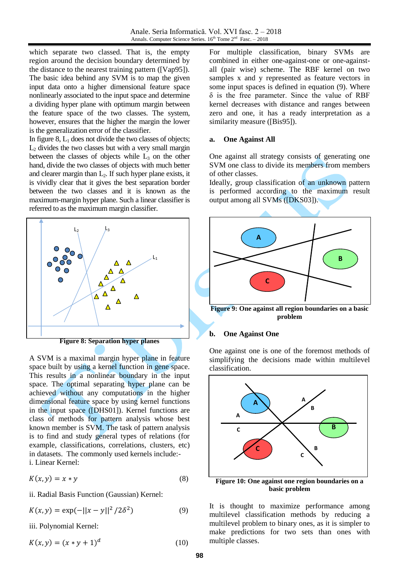which separate two classed. That is, the empty region around the decision boundary determined by the distance to the nearest training pattern ([Vap95]). The basic idea behind any SVM is to map the given input data onto a higher dimensional feature space nonlinearly associated to the input space and determine a dividing hyper plane with optimum margin between the feature space of the two classes. The system, however, ensures that the higher the margin the lower is the generalization error of the classifier.

In figure  $8$ ,  $L_1$  does not divide the two classes of objects;  $L<sub>2</sub>$  divides the two classes but with a very small margin between the classes of objects while  $L<sub>3</sub>$  on the other hand, divide the two classes of objects with much better and clearer margin than  $L_2$ . If such hyper plane exists, it is vividly clear that it gives the best separation border between the two classes and it is known as the maximum-margin hyper plane. Such a linear classifier is referred to as the maximum margin classifier.



A SVM is a maximal margin hyper plane in feature space built by using a kernel function in gene space. This results in a nonlinear boundary in the input space. The optimal separating hyper plane can be achieved without any computations in the higher dimensional feature space by using kernel functions in the input space ([DHS01]). Kernel functions are class of methods for pattern analysis whose best known member is SVM. The task of pattern analysis is to find and study general types of relations (for example, classifications, correlations, clusters, etc) in datasets. The commonly used kernels include: i. Linear Kernel:

$$
K(x, y) = x * y \tag{8}
$$

ii. Radial Basis Function (Gaussian) Kernel:

$$
K(x, y) = \exp(-||x - y||^2 / 2\delta^2)
$$
 (9)

iii. Polynomial Kernel:

$$
K(x, y) = (x * y + 1)^d
$$
 (10)

For multiple classification, binary SVMs are combined in either one-against-one or one-againstall (pair wise) scheme. The RBF kernel on two samples x and y represented as feature vectors in some input spaces is defined in equation (9). Where δ is the free parameter. Since the value of RBF kernel decreases with distance and ranges between zero and one, it has a ready interpretation as a similarity measure ([Bis95]).

## **a. One Against All**

One against all strategy consists of generating one SVM one class to divide its members from members of other classes.

Ideally, group classification of an unknown pattern is performed according to the maximum result output among all SVMs ([DKS03]).



**Figure 9: One against all region boundaries on a basic problem**

## **b. One Against One**

One against one is one of the foremost methods of simplifying the decisions made within multilevel classification.



**basic problem**

It is thought to maximize performance among multilevel classification methods by reducing a multilevel problem to binary ones, as it is simpler to make predictions for two sets than ones with multiple classes.